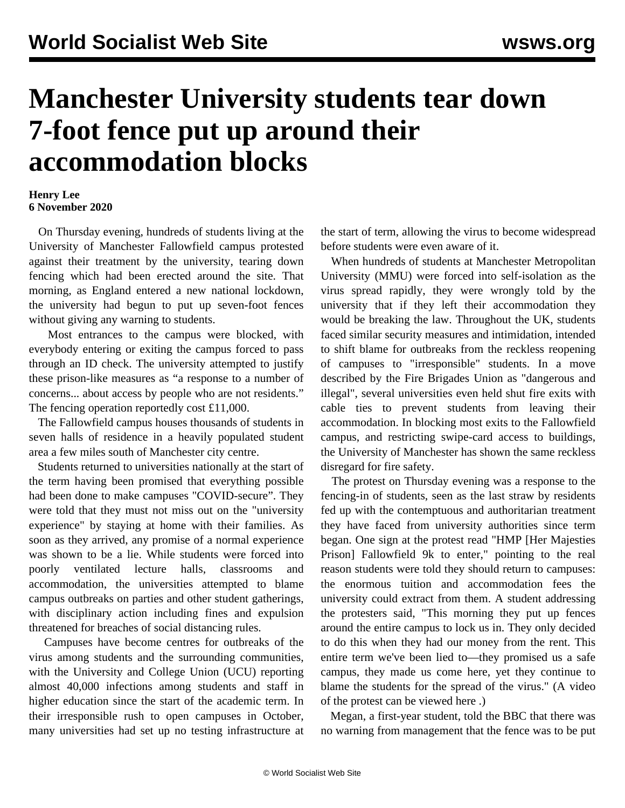## **Manchester University students tear down 7-foot fence put up around their accommodation blocks**

## **Henry Lee 6 November 2020**

 On Thursday evening, hundreds of students living at the University of Manchester Fallowfield campus protested against their treatment by the university, tearing down fencing which had been erected around the site. That morning, as England entered a new national lockdown, the university had begun to put up seven-foot fences without giving any warning to students.

 Most entrances to the campus were blocked, with everybody entering or exiting the campus forced to pass through an ID check. The university attempted to justify these prison-like measures as "a response to a number of concerns... about access by people who are not residents." The fencing operation reportedly cost £11,000.

 The Fallowfield campus houses thousands of students in seven halls of residence in a heavily populated student area a few miles south of Manchester city centre.

 Students returned to universities nationally at the start of the term having been promised that everything possible had been done to make campuses "COVID-secure". They were told that they must not miss out on the "university experience" by staying at home with their families. As soon as they arrived, any promise of a normal experience was shown to be a lie. While students were forced into poorly ventilated lecture halls, classrooms and accommodation, the universities attempted to blame campus outbreaks on parties and other student gatherings, with disciplinary action including fines and expulsion threatened for breaches of social distancing rules.

 Campuses have become centres for outbreaks of the virus among students and the surrounding communities, with the University and College Union (UCU) reporting almost 40,000 infections among students and staff in higher education since the start of the academic term. In their [irresponsible rush](/en/articles/2020/10/03/unco-o03.html) to open campuses in October, many universities had set up no testing infrastructure at the start of term, allowing the virus to become widespread before students were even aware of it.

 When hundreds of students at Manchester Metropolitan University (MMU) were forced into self-isolation as the virus spread rapidly, they were wrongly told by the university that if they left their accommodation they would be breaking the law. Throughout the UK, students faced similar security measures and intimidation, intended to shift blame for outbreaks from the reckless reopening of campuses to "irresponsible" students. In a move described by the Fire Brigades Union as "dangerous and illegal", several universities even held shut fire exits with cable ties to prevent students from leaving their accommodation. In blocking most exits to the Fallowfield campus, and restricting swipe-card access to buildings, the University of Manchester has shown the same reckless disregard for fire safety.

 The protest on Thursday evening was a response to the fencing-in of students, seen as the last straw by residents fed up with the contemptuous and authoritarian treatment they have faced from university authorities since term began. One sign at the protest read "HMP [Her Majesties Prison] Fallowfield 9k to enter," pointing to the real reason students were told they should return to campuses: the enormous tuition and accommodation fees the university could extract from them. A student addressing the protesters said, "This morning they put up fences around the entire campus to lock us in. They only decided to do this when they had our money from the rent. This entire term we've been lied to—they promised us a safe campus, they made us come here, yet they continue to blame the students for the spread of the virus." (A video of the protest can be viewed [here](https://twitter.com/themancunion/status/1324447530025951235) .)

 Megan, a first-year student, told the BBC that there was no warning from management that the fence was to be put